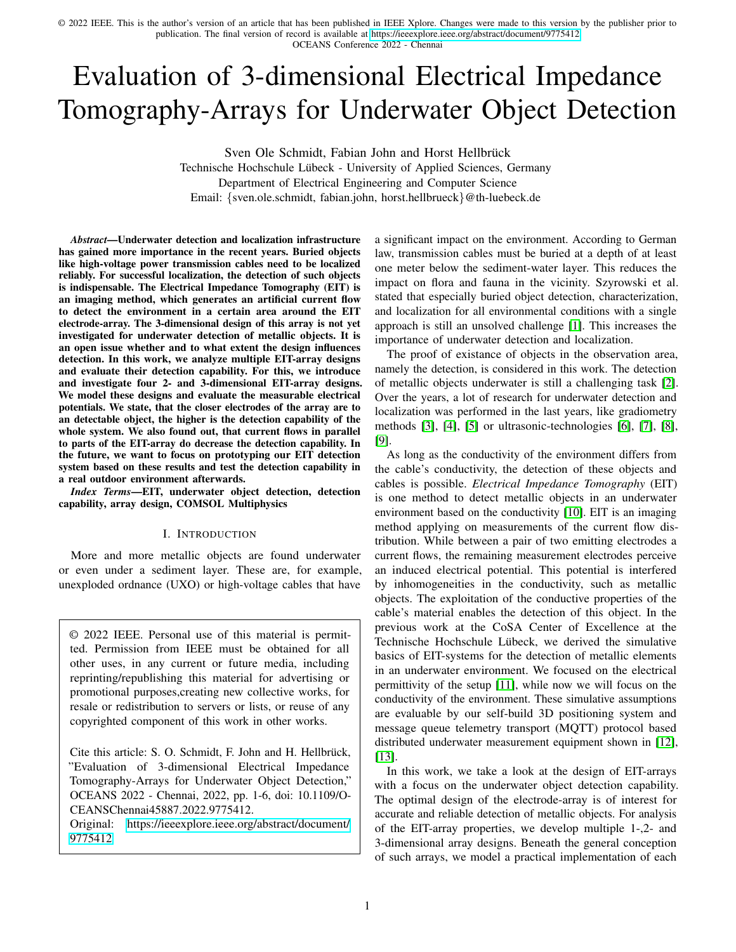# Evaluation of 3-dimensional Electrical Impedance Tomography-Arrays for Underwater Object Detection

Sven Ole Schmidt, Fabian John and Horst Hellbrück

Technische Hochschule Lübeck - University of Applied Sciences, Germany Department of Electrical Engineering and Computer Science

Email: {sven.ole.schmidt, fabian.john, horst.hellbrueck}@th-luebeck.de

*Abstract*—Underwater detection and localization infrastructure has gained more importance in the recent years. Buried objects like high-voltage power transmission cables need to be localized reliably. For successful localization, the detection of such objects is indispensable. The Electrical Impedance Tomography (EIT) is an imaging method, which generates an artificial current flow to detect the environment in a certain area around the EIT electrode-array. The 3-dimensional design of this array is not yet investigated for underwater detection of metallic objects. It is an open issue whether and to what extent the design influences detection. In this work, we analyze multiple EIT-array designs and evaluate their detection capability. For this, we introduce and investigate four 2- and 3-dimensional EIT-array designs. We model these designs and evaluate the measurable electrical potentials. We state, that the closer electrodes of the array are to an detectable object, the higher is the detection capability of the whole system. We also found out, that current flows in parallel to parts of the EIT-array do decrease the detection capability. In the future, we want to focus on prototyping our EIT detection system based on these results and test the detection capability in a real outdoor environment afterwards.

*Index Terms*—EIT, underwater object detection, detection capability, array design, COMSOL Multiphysics

#### I. INTRODUCTION

More and more metallic objects are found underwater or even under a sediment layer. These are, for example, unexploded ordnance (UXO) or high-voltage cables that have

© 2022 IEEE. Personal use of this material is permitted. Permission from IEEE must be obtained for all other uses, in any current or future media, including reprinting/republishing this material for advertising or promotional purposes,creating new collective works, for resale or redistribution to servers or lists, or reuse of any copyrighted component of this work in other works.

Cite this article: S. O. Schmidt, F. John and H. Hellbrück, "Evaluation of 3-dimensional Electrical Impedance Tomography-Arrays for Underwater Object Detection," OCEANS 2022 - Chennai, 2022, pp. 1-6, doi: 10.1109/O-CEANSChennai45887.2022.9775412.

Original: [https://ieeexplore.ieee.org/abstract/document/](https://ieeexplore.ieee.org/abstract/document/9775412) [9775412](https://ieeexplore.ieee.org/abstract/document/9775412)

a significant impact on the environment. According to German law, transmission cables must be buried at a depth of at least one meter below the sediment-water layer. This reduces the impact on flora and fauna in the vicinity. Szyrowski et al. stated that especially buried object detection, characterization, and localization for all environmental conditions with a single approach is still an unsolved challenge [1]. This increases the importance of underwater detection and localization.

The proof of existance of objects in the observation area, namely the detection, is considered in this work. The detection of metallic objects underwater is still a challenging task [2]. Over the years, a lot of research for underwater detection and localization was performed in the last years, like gradiometry methods [3], [4], [5] or ultrasonic-technologies [6], [7], [8], [9].

As long as the conductivity of the environment differs from the cable's conductivity, the detection of these objects and cables is possible. *Electrical Impedance Tomography* (EIT) is one method to detect metallic objects in an underwater environment based on the conductivity [10]. EIT is an imaging method applying on measurements of the current flow distribution. While between a pair of two emitting electrodes a current flows, the remaining measurement electrodes perceive an induced electrical potential. This potential is interfered by inhomogeneities in the conductivity, such as metallic objects. The exploitation of the conductive properties of the cable's material enables the detection of this object. In the previous work at the CoSA Center of Excellence at the Technische Hochschule Lübeck, we derived the simulative basics of EIT-systems for the detection of metallic elements in an underwater environment. We focused on the electrical permittivity of the setup [11], while now we will focus on the conductivity of the environment. These simulative assumptions are evaluable by our self-build 3D positioning system and message queue telemetry transport (MQTT) protocol based distributed underwater measurement equipment shown in [12], [13].

In this work, we take a look at the design of EIT-arrays with a focus on the underwater object detection capability. The optimal design of the electrode-array is of interest for accurate and reliable detection of metallic objects. For analysis of the EIT-array properties, we develop multiple 1-,2- and 3-dimensional array designs. Beneath the general conception of such arrays, we model a practical implementation of each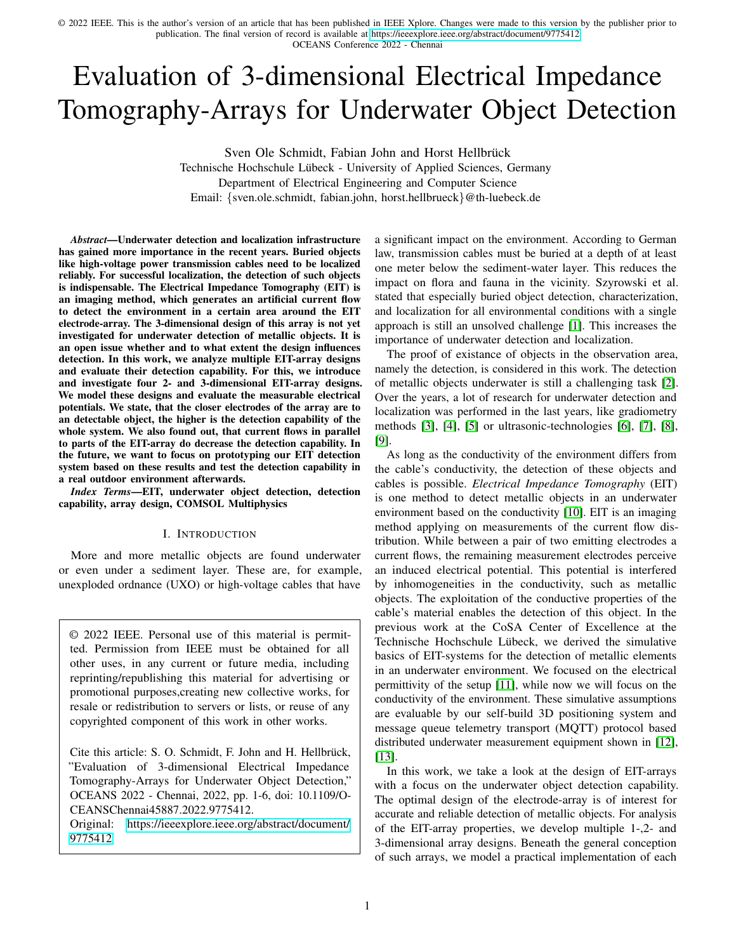OCEANS Conference 2022 - Chennai

design case and analyzed the behavior by simulation. To create a realistic simulation environment, we perform the evaluation in an underwater scenario similar to our laboratory aquarium.

The contributions are as follows:

- We derive four self-designed 2- and 3-dimensional EITarray designs.
- We model an EIT-system with split arrays for current emission and potential measurement
- We analyze the EIT-arrays with modeled simulations of a metallic object in a laboratory underwater environment.
- We evaluate the object detection capability of these EITarrays with our new metric, the distance of electrical potential  $d_{des}$ .

The rest of the paper is organized as follows. In Section II, we depict the general functionality of EIT and focus on its advantages in the field of underwater object detection. Section III introduces our concept to design the EIT electrodes in 1-,2- and 3-dimensional arrays. We will also focus on the advantages of the single designs. In Section IV, we introduce the evaluation setup and compare the single array design among themselves with respect to their detection capability. Section V concludes the paper and gives a short outlook on future work.

# II. ELECTRICAL IMPEDANCE TOMOGRAPHY FOR UNDERWATER OBJECT DETECTION

Electrical Impedance Tomography (EIT) is a method to construct an image of the observation area by analyzing the measured electrical conductivity inside this area. Each EITarray consists of multiple electrodes, as shown in Figure 1.



Fig. 1: General concept of EIT systems

In the following, we differ between the *emitting electrodes* and the *measurement electrodes*. A set of two emitting electrodes are provided with a variable current of a self-defined arbitrary waveform. While one of these emitting electrodes is loaded by the current  $I_1(t)$ , the second electrode of the set is provided with a phase-shifted version of this current at the same time  $I_2(t) = I_1(t) \cdot e^{(j \cdot 180^\circ)} = -I_1(t)$ . This is needed to prevent bias current. The emitting electrodes are displayed in Figure 1 in red and blue, respectively. The measurement electrodes perceive the induced electrical potentials (in Figure 1: depicted in yellow). Additionally, we installed a *reference electrode*, which is connected to ground potential of the measurement setup (depicted in gray). To avoid reference differences of the electrical potentials of the measurement electrodes, all electrodes are grounded wrt. this reference electrode.

For complex imaging of the observation area, multiple combinations of the emitting electrodes are chosen. So successively, the electrodes which emit the current change, while the remain electrodes perceive the electrical potentials. The derivation of the conductivities is made possible by algorithms focusing on inverse problems (For further literature on this field, we recommend [14] of Kolehmainen et al.). The determination of the conductivity areas inside the observation area enables the ability of detection of metallic objects.

Since the arrangement of the EIT-array's electrodes influence this observation area, we assume that it also influences the detection capabilities. In the upcoming section, we will focus on the design of EIT-arrays.

## III. DESIGN OF THE EIT-ARRAYS

After explaining the general concept of EIT for object detection, we will now introduce the developed EIT-array designs evaluated in the subsequent Section IV.

To arrange an EIT-array, the position of the electrodes is of interest. The larger the covered area of the electrodes, the larger the observation area. But as stated in [10], with a constant number of measurement electrodes, a larger covered area decreases the resolution of the observation area's image provided by the EIT analysis.

General design concepts for 1-, 2- and 3-dimensional EITarrays are shown in Figure 2.

As shown in Figure 2 Subplot (a) the 1-dimensional case only covers a line of electrodes. Although this array is easy to set up and takes up little space, measurements of the electrodes does not include information of the observation area in the  $y-$  or  $z-$  direction, since all electrodes have the same  $y-$  and z−coordinate.

The subplots of (b) depict 2-dimensional EIT-arrays. In subplot (b1) a plane of electrodes is created, while the design of subplot (b2) consists of two 1-dimensional arrays, which are perpendicular to each other. Even though two directions are covered by both designs, one direction each is not covered (subplot (b1):  $z$  not covered, subplot (b2):  $y$  not covered), since all measurement electrodes share the same respective coordinate. If the analysis of the missing direction is not of interest, this design offers a low setup due to its 2-dimensional plane.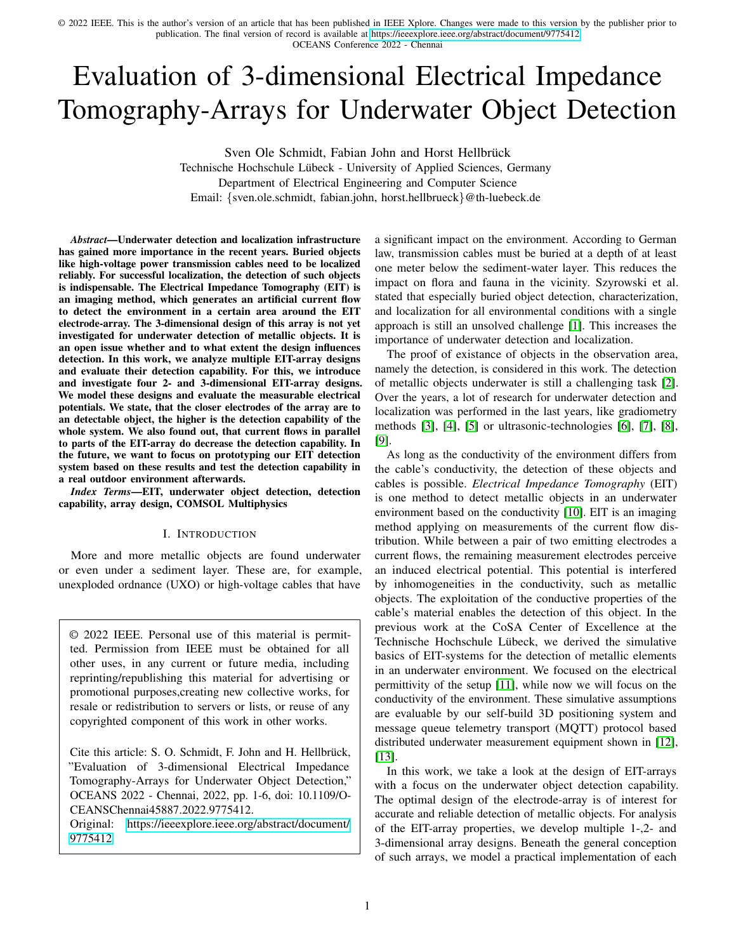

Fig. 2: Design concepts for 1-, 2- and 3-dimensional EIT-arrays.

The design of the subplots (c) introduce three 3-dimensional designs. While subplot (c1) and (c2) both include two planes of electrodes, subplot (c3) depicts a design with three planes. In (c1), the planes are installed perpendicular to each other. This design enables the measurement of electrical potentials in a certain depth defined by the planes width. In (c2), the planes are parallel to each other, which is assumed to focus on the observation area on the space between the planes, while also elements close to the plane edges are perceptable. The design of (c3) combines the previous ideas. In contrast to (c2) another plane of measurement electrodes is added, which caps the observation area in positive z-direction. Therefore the observation area is nearly framed by the electrodes. For the 3-dimensional case, all three designs contain electrodes with different positions in x-, y- and z-directions. While the set up is complex compared to the 1- and 2-dimensional case, the electrodes are able to measure the potential in all three dimensions.

For the following evaluation of the designs in Section IV, we will focus on the 2- and 3-dimensional designs (b1), (c1),  $(c2)$  and  $(c3)$ .

## IV. EVALUATION OF THE EIT-ARRAY DESIGNS

In this section, we will first present our evaluation setup and subsequently describe results for the single EIT-array designs.

#### *A. Evaluation Setup*

The aim of this work is to compare the object detection capability of the EIT-array designs. For evaluation, we modeled an underwater environment which is similar to our laboratory aquarium. Figure 3 depicts this environment. The modeling of the environment as well as the calculation of the electrical potentials is done with the software *COMSOL Multiphysics*. The model is based on our previous work in [11], which validated this model with an analytical approach. For the simulation environment and results, we refer to the repository<sup>1</sup>.



Fig. 3: Modeled underwater environment for simulation of the EIT-array designs.

The environment has the dimension of  $x = 0.585$  m,  $y = 0.79$  m and  $z = 0.82$  m filled with sea water to model a realistic underwater environment. We assume a electrical conductivity of  $\sigma_w = 4$  S/m and a relative permittivity of  $\varepsilon_w = 81$  [15]. The coordinate system's origin for the following positioning is set to the corner of this environment.

Also, a cylinder with metallic conductive properties is integrated into the model of the underwater environment. This object must be detected in the following. The cylinder represents a copper conductor that has an influence on the propagation of the current flow in the water. The dimensions of the conductor are based on a copper rod that has already been used for measurements in our laboratory environment. We defined an electrical conductivity of  $\sigma_c = 60 \cdot 10^6$  S/m and relative permittivity of  $\varepsilon_c = 1$  to realistically represent its electrical properties. The center of the cylinder footprint is

<sup>1</sup>[https://git.mylab.th-luebeck.de/sven.ole.schmidt/](https://git.mylab.th-luebeck.de/sven.ole.schmidt/eit-array-comparison-for-object-detection) [eit-array-comparison-for-object-detection](https://git.mylab.th-luebeck.de/sven.ole.schmidt/eit-array-comparison-for-object-detection)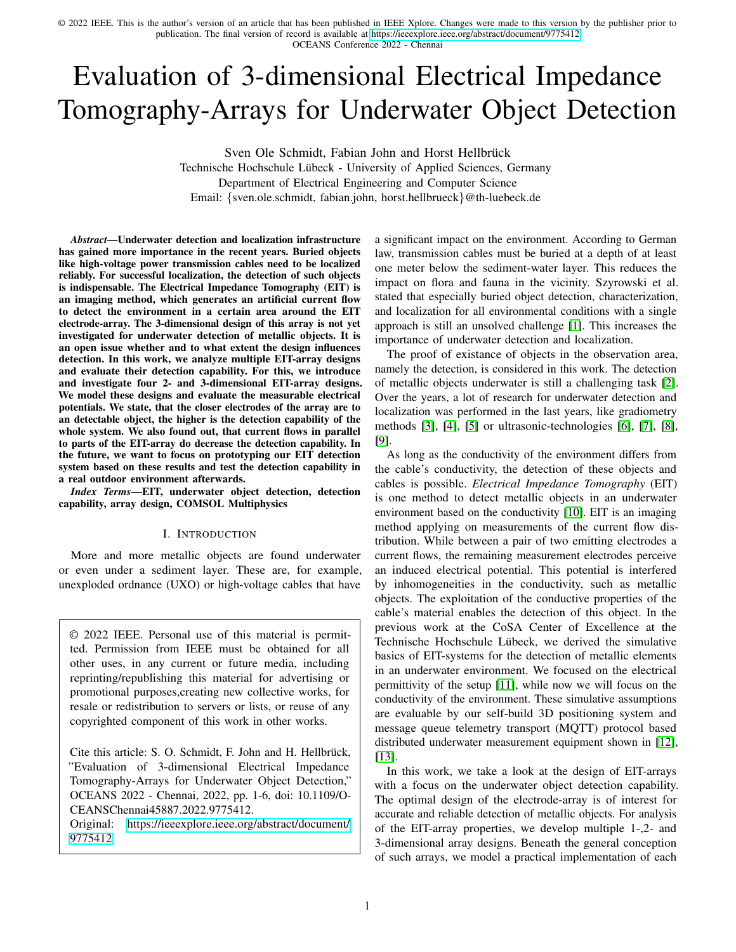located at  $P_{cyl} = (x, z) = (0.2925, 0.1)$  m while it extends for 0.6 m centered in y-direction. The conductor is also depicted in Figure 3.

Note, that for simulation, we will neglect the inhomogeneity of the sea water and the conductor, as well as thermal effects and simulation noise. Under this assumptions, still suitable solutions results, as shown in [11].

For comparability of the designs we will split up the emitting and measuring electrodes in the following to two arrays. We install a plane of four emitting electrodes with index  $n_{eEl} = 1, ..., 4$ , while each of the electrodes is a copper disc with a diameter of  $d_{eEl} = 5$  cm. By enlarging the electrodes, the transition resistance between electrode and environment is decreased, which leads to lower power losses. The electrodes are arranged in a  $2 \times 2$ -square with a spacing of 20 cm between the neighbored electrodes. We choose the emitting electrode array's position in the way, that the cylinder is directly below it to optimize the detection setup. The coordinates of the simulated electrode's centers are listed in Table I as well as shown in Figure 3:

TABLE I: Coordinates of the four emitting electrodes in the emitting array

| emitting electrode $n_{eEl}$ | position in array [m]                                                                                |
|------------------------------|------------------------------------------------------------------------------------------------------|
| 01                           |                                                                                                      |
| $\Omega$                     |                                                                                                      |
| 03                           |                                                                                                      |
| 04                           | $(0.1925, 0.295, 0.3)$<br>$(0.1925, 0.495, 0.3)$<br>$(0.3925, 0.295, 0.3)$<br>$(0.3925, 0.495, 0.3)$ |

These electrodes are successively provided in pairs of two with the constant currents  $I_1(t) = 1$  A and  $I_2(t) = -I_1(t) = -1$  A. This is done for all six electrode combinations, which are labeled by parameter  $n_{eC} = 1, ..., 6$ . While the constant current would lead to electrolysis between the electrodes in a real environment, this DC value is chosen, to simplify the statements regarding the detection capability.

In the following, we set the total number of measurement electrodes to twelve with index  $n_{mEl} = 1, ..., 12$  to ensure comparability between designs. Therefore the designs derived in Section III have different numbers of electrodes per plane. The position of the measurement electrodes for all four chosen designs are depicted in Figure 4.

We assume that the diameter of the measurement electrodes is negligibly small. The individual coordinates of the measurement electrodes for all designs are listed in Table II:

As mentioned in Section II, we need to install an additional reference electrode for grounding the measurement electrodes. The reference electrode is placed at  $P_{Ref} = (0.1925, 0.295, 0.75)$  in the simulation environment and has the same physical properties as the measurement electrodes. It is also shown in Figure 3.

For all measurement electrode array designs, the emitting electrode array is simulated and the electrical potential is determined twice: First with cylindrical conductor in the environment, subsequently the conductor is removed. So, we manage to focus on the difference between the measurements of the electrical potential. The higher the difference, the higher



Fig. 4: Position of the twelve measurement electrodes  $n_{mEl}$ for the four chosen EIT-array designs.

the influence of the conductor on the potentials and the more likely is the detection of this object based on the potentials.

For detection of objects in an air environment, we compared several distance metrics for target detection systems and found that the  $\ell$ 1-distance is a good choice [16]. Here, this is adapted for the underwater case. In the following,  $U_{n_{mEl}}(n_{eC})$  is the potential preceived by measurement electrode  $n_{mEl}$  for emitting electrode combination  $n_{eC}$  including the conductor in the environment. And  $\hat{U}_{n_{mEl}}(n_{eC})$  is the potential preceived in the same setup, but without including the conductor. Then, each of the designs in characterizable by the  $\ell$ 1-distance  $d_{des}$ with:

$$
d_{des} = \sum_{n_{eC}=1}^{6} \sum_{n_{mEl}=1}^{12} ||U_{n_{mEl}}(n_{eC})| - |\hat{U}_{n_{mEl}}(n_{eC})||. \tag{1}
$$

Note, that both potentials  $U_{n_{mEl}}(n_{eC})$  and  $\hat{U}_{n_{mEl}}(n_{eC})$  are grounded with respect to the reference electrode's potential. We assume, that the largest  $\ell$ 1-distance  $d_{des}$  leads to the design with the highest detection capability for this evaluation setup.

After introducing the evaluation environment, we will next depict the evaluation results for all four designs.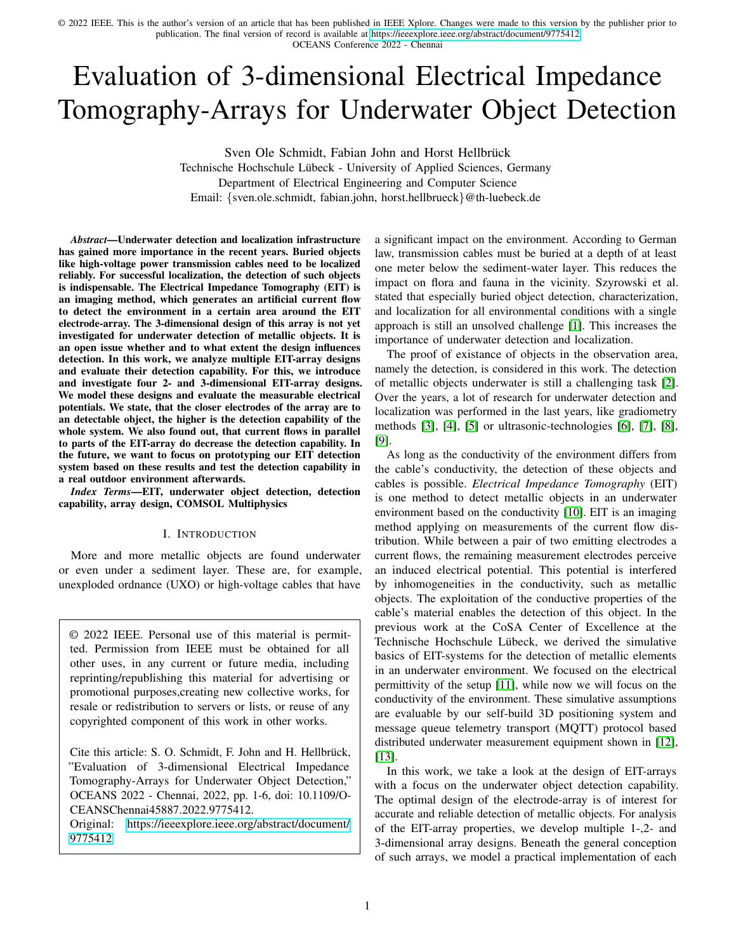OCEANS Conference 2022 - Chennai

TABLE II: Coordinates twelve measurement electrodes for the chosen designs sketched in Figure 2. The corresponding Subplots are mentioned next to the Design.

| $n_{mEl}$ | design (b1)            | design (c1)            |
|-----------|------------------------|------------------------|
| 01        | (0.1925, 0.245, 0.25)  | (0.1425, 0.295, 0.175) |
| 02        | (0.1925, 0.345, 0.25)  | (0.1425, 0.395, 0.175) |
| 03        | (0.1925, 0.445, 0.25)  | (0.1425, 0.495, 0.175) |
| 04        | (0.1925, 0.545, 0.25)  | (0.1425, 0.295, 0.275) |
| 05        | (0.2925, 0.245, 0.25)  | (0.1425, 0.395, 0.275) |
| 06        | (0.2925, 0.345, 0.25)  | (0.1425, 0.495, 0.275) |
| 07        | (0.2925, 0.445, 0.25)  | (0.2425, 0.295, 0.275) |
| 08        | (0.2925, 0.545, 0.25)  | (0.3425, 0.295, 0.275) |
| 09        | (0.3925, 0.245, 0.25)  | (0.2425, 0.395, 0.275) |
| 10        | (0.3925, 0.345, 0.25)  | (0.3425, 0.395, 0.275) |
| 11        | (0.3925, 0.445, 0.25)  | (0.2425, 0.495, 0.275) |
| 12        | (0.3925, 0.545, 0.25)  | (0.3425, 0.495, 0.275) |
| $n_{mEl}$ | design (c2)            | design (c3)            |
| 01        | (0.1425, 0.295, 0.175) | (0.1425, 0.295, 0.175) |
| 02        | (0.1425, 0.395, 0.175) | (0.1425, 0.495, 0.175) |
| 03        | (0.1425, 0.495, 0.175) | (0.1425, 0.295, 0.275) |
| 04        | (0.1425, 0.295, 0.275) | (0.1425, 0.495, 0.275) |
| 05        | (0.1425, 0.395, 0.275) | (0.4425, 0.295, 0.175) |
| 06        | (0.1425, 0.495, 0.275) | (0.4425, 0.495, 0.175) |
| 07        | (0.4425, 0.295, 0.175) | (0.4425, 0.295, 0.275) |
| 08        | (0.4425, 0.395, 0.175) | (0.4425, 0.495, 0.275) |
| 09        | (0.4425, 0.495, 0.175) | (0.2425, 0.295, 0.275) |
| 10        | (0.4425, 0.295, 0.275) | (0.3425, 0.295, 0.275) |
| 11        | (0.4425, 0.395, 0.275) | (0.2425, 0.495, 0.275) |
| 12        | (0.4425, 0.495, 0.275) | (0.3425, 0.495, 0.275) |

#### *B. Evaluation of the Simulation Results*

After introducing the evaluation setup, we analyze the results of the simulation in this section.

The resulting distances  $d_{des}$  for the four chosen designs are shown in Table III:

TABLE III: Distances  $d_{des}$  of the designs depicted in Figure 4 for the emitting electrodes  $n_{eC,1}$  and  $n_{eC,2}$  (The combination is topview-illustrated beneath the indicees - Blue: active, White: non active.)

| $n_{eC,1/2}$          | design (b1)          | design (c1)          | design (c2)          | design (c3)          |
|-----------------------|----------------------|----------------------|----------------------|----------------------|
| 01 & 02 $38$          | $0.35 \text{ mV}$    | $0.26 \,\mathrm{mV}$ | $0.18 \,\mathrm{mV}$ | $0.28 \,\mathrm{mV}$ |
| 01 & 03 & 03 & 02     | $0.62 \text{ mV}$    | $0.66 \,\mathrm{mV}$ | $1.03 \,\mathrm{mV}$ | 0.8 <sub>m</sub> V   |
| 01 & 04 $\frac{8}{3}$ | $0.49 \text{ mV}$    | $0.67 \,\mathrm{mV}$ | $1.03 \,\mathrm{mV}$ | $0.79 \,\mathrm{mV}$ |
| 02 & 03 & 03          | $0.49 \,\mathrm{mV}$ | $0.67 \,\mathrm{mV}$ | $1.04 \text{ mV}$    | $0.79 \,\mathrm{mV}$ |
| 02 & 04 & 08          | $0.62 \text{ mV}$    | $0.67 \,\mathrm{mV}$ | $1.03 \,\mathrm{mV}$ | $0.79 \,\mathrm{mV}$ |
| 03 & 04 & 8           | $0.35 \,\mathrm{mV}$ | $0.18 \,\mathrm{mV}$ | $0.18 \,\mathrm{mV}$ | $0.28 \,\mathrm{mV}$ |
| sum of $d_{des}$      | 2.9 <sub>m</sub> V   | $3.1 \text{ mV}$     | $4.5 \,\mathrm{mV}$  | $3.7 \,\mathrm{mV}$  |

Note, that all calculated distances  $d_{des}$  of the determined electrical potentials are much greater than the pre-determined variation of the software. Therefore, all four designs are able to detect the existance of a cylindric conductor based on the change of electric potential.

The 2-dimensional design (b1) covers only the 2-dimensional space. The further an object moves away from the plane of the measurement electrodes, the lower the effect on the induced electrical potentials. We assume, that this will also further decrease the distance  $d_{des}$ . In our evaluation, the design achieves a distance sum of 2.9 mV for all combinations  $n_{eC,1}$  &  $n_{eC,2}$ . The difference in electric potential is still

detectable, but this array represents the smallest distance of all evaluated designs.

The 3-dimensional design (c1) consists of two planes, which are perpendicular to each other. Adding a third dimension by rearranging the electrodes increases the distance  $d_{des}$  compared to design (b1). Here, the design achieves a distance sum of 3.1 mV.

In design (c2), we arrange the measurement electrodes in two parallel planes. This design promotes the object detection capability. The emitting electrode combinations  $n_{eC,1}$  &  $n_{eC,2}$ , which are also parallel to the planes, have the overall smallest determined distances  $d_{des}$  with 0.18 mV each. However, as soon as current flows on a transverse connection between the electrodes, we reach the maximum distance  $d_{des}$  of 1.04 mV.

The last evaluated design (c3) includes three planes, which frame the observation area. Similar to design (c2), the combinations  $n_{eC,1}$  &  $n_{eC,2}$ , which run transverse to the parallel side planes, show the strongest distances with 0.8 mV each. For the emitting electrode combinations parallel to the side planes, we get much weaker distances of 0.28 mV.

In general, we find that the  $\ell$ 1-distance defined in eq. (1) changes for different array designs. The higher this  $\ell$ 1-distance, the more change of electrical potential between the setup with and without conductor is remarkable. It is recognizable, that the more measurement electrodes are closer to the cylindric conductor, the higher the  $\ell$ 1-distance  $d_{des}$  and thus the detection capability. Since the conductor will be at an unknown location in a real detection, an arrangement in three dimensions is recommended. In addition, cross-connections leading to transverse current flow wrt. the measurement electrode planes are preferred as combinations, since these had the highest  $\ell$ 1-distances  $d_{des}$  in all four designs.

## V. CONCLUSION AND FUTURE WORK

This paper shows the evaluation of 2- and 3-dimensional EIT-arrays for underwater object detection.

After a classification of existance proof of objects, namely *object detection*, in the research field, the basis for the design considerations is laid by the description of EIT. By selectively applying currents to emitting electrodes, EIT causes a current flow through the medium, which is perceived as an induced electric potential by measurement electrodes. The design of the arrays are developed in 1-, 2- and 3-dimensional space. Due to the lack of covering, the 1-dimensional design case and one of the 2-dimensional design concepts will not be pursued further. To ensure comparability of the designs, the array of emitting and measuring electrodes is split. In addition, it is noted that despite the increasing dimension, the number of measurement electrodes remains constant.

Based on these assumptions, four designs were developed and evaluated in a modeled underwater environment. A conductive cylinder is included as the object to be detected, so that the designs are evaluated with and without the cylinder. For the evaluation of the object detection capability of the designs, the  $\ell$ 1-distance  $d_{des}$  was introduced as a metric. This metric sums up the potential differences between the evaluation